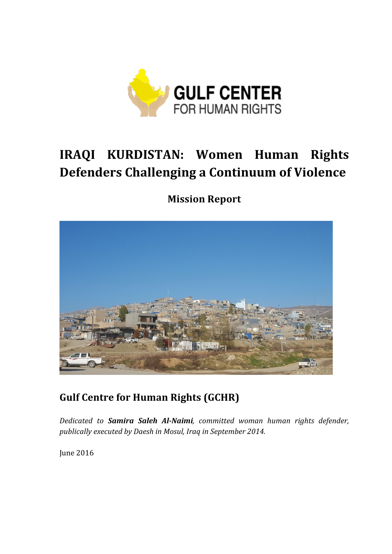

### **IRAQI KURDISTAN: Women Human Rights Defenders Challenging a Continuum of Violence**

**Mission Report**



**Gulf Centre for Human Rights (GCHR)** 

*Dedicated to Samira Saleh Al-Naimi, committed woman human rights defender,*  publically executed by Daesh in Mosul, Iraq in September 2014.

June 2016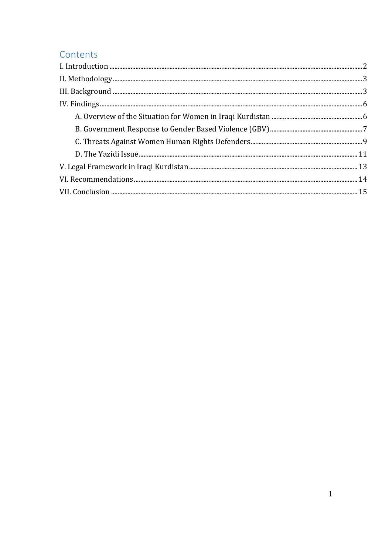### Contents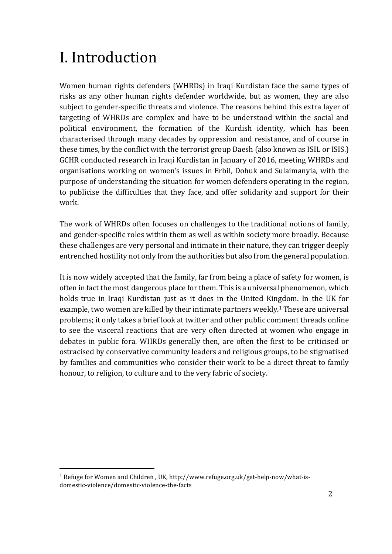# I. Introduction

Women human rights defenders (WHRDs) in Iraqi Kurdistan face the same types of risks as any other human rights defender worldwide, but as women, they are also subject to gender-specific threats and violence. The reasons behind this extra layer of targeting of WHRDs are complex and have to be understood within the social and political environment, the formation of the Kurdish identity, which has been characterised through many decades by oppression and resistance, and of course in these times, by the conflict with the terrorist group Daesh (also known as ISIL or ISIS.) GCHR conducted research in Iraqi Kurdistan in January of 2016, meeting WHRDs and organisations working on women's issues in Erbil, Dohuk and Sulaimanyia, with the purpose of understanding the situation for women defenders operating in the region, to publicise the difficulties that they face, and offer solidarity and support for their work. 

The work of WHRDs often focuses on challenges to the traditional notions of family, and gender-specific roles within them as well as within society more broadly. Because these challenges are very personal and intimate in their nature, they can trigger deeply entrenched hostility not only from the authorities but also from the general population.

It is now widely accepted that the family, far from being a place of safety for women, is often in fact the most dangerous place for them. This is a universal phenomenon, which holds true in Iraqi Kurdistan just as it does in the United Kingdom. In the UK for example, two women are killed by their intimate partners weekly.<sup>1</sup> These are universal problems; it only takes a brief look at twitter and other public comment threads online to see the visceral reactions that are very often directed at women who engage in debates in public fora. WHRDs generally then, are often the first to be criticised or ostracised by conservative community leaders and religious groups, to be stigmatised by families and communities who consider their work to be a direct threat to family honour, to religion, to culture and to the very fabric of society.

<sup>&</sup>lt;sup>1</sup> Refuge for Women and Children, UK, http://www.refuge.org.uk/get-help-now/what-isdomestic-violence/domestic-violence-the-facts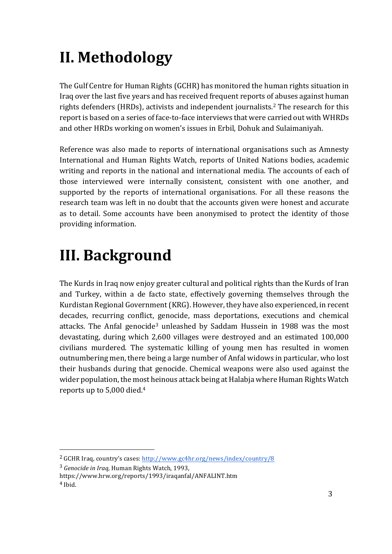# **II. Methodology**

The Gulf Centre for Human Rights (GCHR) has monitored the human rights situation in Iraq over the last five years and has received frequent reports of abuses against human rights defenders (HRDs), activists and independent journalists.<sup>2</sup> The research for this report is based on a series of face-to-face interviews that were carried out with WHRDs and other HRDs working on women's issues in Erbil, Dohuk and Sulaimaniyah.

Reference was also made to reports of international organisations such as Amnesty International and Human Rights Watch, reports of United Nations bodies, academic writing and reports in the national and international media. The accounts of each of those interviewed were internally consistent, consistent with one another, and supported by the reports of international organisations. For all these reasons the research team was left in no doubt that the accounts given were honest and accurate as to detail. Some accounts have been anonymised to protect the identity of those providing information.

## **III. Background**

The Kurds in Iraq now enjoy greater cultural and political rights than the Kurds of Iran and Turkey, within a de facto state, effectively governing themselves through the Kurdistan Regional Government (KRG). However, they have also experienced, in recent decades, recurring conflict, genocide, mass deportations, executions and chemical attacks. The Anfal genocide<sup>3</sup> unleashed by Saddam Hussein in 1988 was the most devastating, during which 2,600 villages were destroyed and an estimated 100,000 civilians murdered. The systematic killing of young men has resulted in women outnumbering men, there being a large number of Anfal widows in particular, who lost their husbands during that genocide. Chemical weapons were also used against the wider population, the most heinous attack being at Halabja where Human Rights Watch reports up to  $5,000$  died.<sup>4</sup>

<sup>&</sup>lt;sup>2</sup> GCHR Iraq, country's cases: http://www.gc4hr.org/news/index/country/8

<sup>&</sup>lt;sup>3</sup> Genocide in Iraq, Human Rights Watch, 1993,

https://www.hrw.org/reports/1993/iraqanfal/ANFALINT.htm <sup>4</sup> Ibid.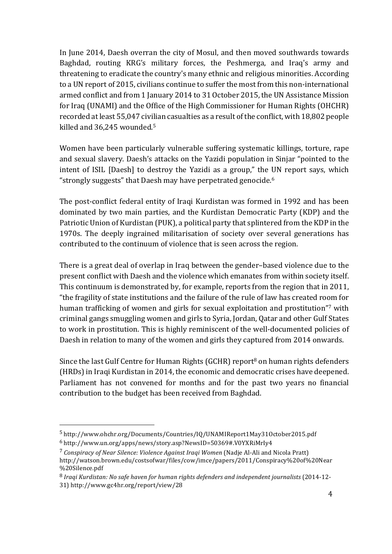In June 2014, Daesh overran the city of Mosul, and then moved southwards towards Baghdad, routing KRG's military forces, the Peshmerga, and Iraq's army and threatening to eradicate the country's many ethnic and religious minorities. According to a UN report of 2015, civilians continue to suffer the most from this non-international armed conflict and from 1 January 2014 to 31 October 2015, the UN Assistance Mission for Iraq (UNAMI) and the Office of the High Commissioner for Human Rights (OHCHR) recorded at least 55,047 civilian casualties as a result of the conflict, with 18,802 people killed and 36,245 wounded.<sup>5</sup>

Women have been particularly vulnerable suffering systematic killings, torture, rape and sexual slavery. Daesh's attacks on the Yazidi population in Sinjar "pointed to the intent of ISIL [Daesh] to destroy the Yazidi as a group," the UN report says, which "strongly suggests" that Daesh may have perpetrated genocide.<sup>6</sup>

The post-conflict federal entity of Iraqi Kurdistan was formed in 1992 and has been dominated by two main parties, and the Kurdistan Democratic Party (KDP) and the Patriotic Union of Kurdistan (PUK), a political party that splintered from the KDP in the 1970s. The deeply ingrained militarisation of society over several generations has contributed to the continuum of violence that is seen across the region.

There is a great deal of overlap in Iraq between the gender–based violence due to the present conflict with Daesh and the violence which emanates from within society itself. This continuum is demonstrated by, for example, reports from the region that in 2011, "the fragility of state institutions and the failure of the rule of law has created room for human trafficking of women and girls for sexual exploitation and prostitution"7 with criminal gangs smuggling women and girls to Syria, Jordan, Qatar and other Gulf States to work in prostitution. This is highly reminiscent of the well-documented policies of Daesh in relation to many of the women and girls they captured from 2014 onwards.

Since the last Gulf Centre for Human Rights (GCHR) report<sup>8</sup> on human rights defenders (HRDs) in Iraqi Kurdistan in 2014, the economic and democratic crises have deepened. Parliament has not convened for months and for the past two years no financial contribution to the budget has been received from Baghdad.

<sup>5</sup> http://www.ohchr.org/Documents/Countries/IQ/UNAMIReport1May31October2015.pdf

<sup>6</sup> http://www.un.org/apps/news/story.asp?NewsID=50369#.V0YXRiMrIy4

<sup>&</sup>lt;sup>7</sup> Conspiracy of Near Silence: Violence Against Iragi Women (Nadie Al-Ali and Nicola Pratt) http://watson.brown.edu/costsofwar/files/cow/imce/papers/2011/Conspiracy%20of%20Near %20Silence.pdf

<sup>&</sup>lt;sup>8</sup> Iraqi Kurdistan: No safe haven for human rights defenders and independent journalists (2014-12-31) http://www.gc4hr.org/report/view/28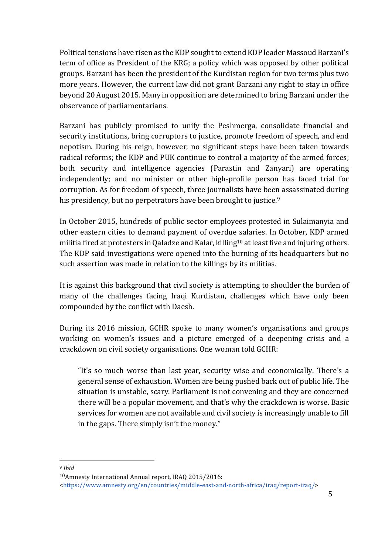Political tensions have risen as the KDP sought to extend KDP leader Massoud Barzani's term of office as President of the KRG; a policy which was opposed by other political groups. Barzani has been the president of the Kurdistan region for two terms plus two more years. However, the current law did not grant Barzani any right to stay in office beyond 20 August 2015. Many in opposition are determined to bring Barzani under the observance of parliamentarians.

Barzani has publicly promised to unify the Peshmerga, consolidate financial and security institutions, bring corruptors to justice, promote freedom of speech, and end nepotism. During his reign, however, no significant steps have been taken towards radical reforms; the KDP and PUK continue to control a majority of the armed forces; both security and intelligence agencies (Parastin and Zanyari) are operating independently; and no minister or other high-profile person has faced trial for corruption. As for freedom of speech, three journalists have been assassinated during his presidency, but no perpetrators have been brought to justice.<sup>9</sup>

In October 2015, hundreds of public sector employees protested in Sulaimanyia and other eastern cities to demand payment of overdue salaries. In October, KDP armed militia fired at protesters in Qaladze and Kalar, killing<sup>10</sup> at least five and injuring others. The KDP said investigations were opened into the burning of its headquarters but no such assertion was made in relation to the killings by its militias.

It is against this background that civil society is attempting to shoulder the burden of many of the challenges facing Iraqi Kurdistan, challenges which have only been compounded by the conflict with Daesh.

During its 2016 mission, GCHR spoke to many women's organisations and groups working on women's issues and a picture emerged of a deepening crisis and a crackdown on civil society organisations. One woman told GCHR:

"It's so much worse than last year, security wise and economically. There's a general sense of exhaustion. Women are being pushed back out of public life. The situation is unstable, scary. Parliament is not convening and they are concerned there will be a popular movement, and that's why the crackdown is worse. Basic services for women are not available and civil society is increasingly unable to fill in the gaps. There simply isn't the money."

 

 $10$ Amnesty International Annual report, IRAQ 2015/2016:

<https://www.amnesty.org/en/countries/middle-east-and-north-africa/iraq/report-iraq/> 

<sup>9</sup> *Ibid*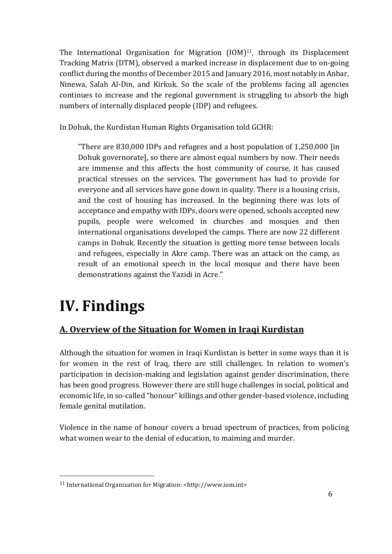The International Organisation for Migration  $[10M]$ <sup>11</sup>, through its Displacement Tracking Matrix (DTM), observed a marked increase in displacement due to on-going conflict during the months of December 2015 and January 2016, most notably in Anbar, Ninewa, Salah Al-Din, and Kirkuk. So the scale of the problems facing all agencies continues to increase and the regional government is struggling to absorb the high numbers of internally displaced people (IDP) and refugees.

In Dohuk, the Kurdistan Human Rights Organisation told GCHR:

"There are  $830,000$  IDPs and refugees and a host population of  $1,250,000$  [in Dohuk governorate], so there are almost equal numbers by now. Their needs are immense and this affects the host community of course, it has caused practical stresses on the services. The government has had to provide for everyone and all services have gone down in quality. There is a housing crisis, and the cost of housing has increased. In the beginning there was lots of acceptance and empathy with IDPs, doors were opened, schools accepted new pupils, people were welcomed in churches and mosques and then international organisations developed the camps. There are now 22 different camps in Dohuk. Recently the situation is getting more tense between locals and refugees, especially in Akre camp. There was an attack on the camp, as result of an emotional speech in the local mosque and there have been demonstrations against the Yazidi in Acre."

## **IV. Findings**

 

### A. Overview of the Situation for Women in Iraqi Kurdistan

Although the situation for women in Iraqi Kurdistan is better in some ways than it is for women in the rest of Iraq, there are still challenges. In relation to women's participation in decision-making and legislation against gender discrimination, there has been good progress. However there are still huge challenges in social, political and economic life, in so-called "honour" killings and other gender-based violence, including female genital mutilation.

Violence in the name of honour covers a broad spectrum of practices, from policing what women wear to the denial of education, to maiming and murder.

<sup>&</sup>lt;sup>11</sup> International Organization for Migration: <http://www.iom.int>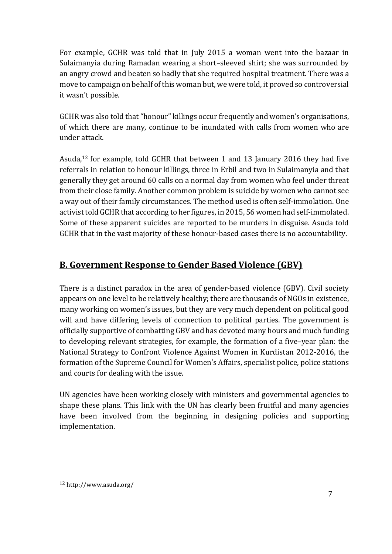For example, GCHR was told that in July 2015 a woman went into the bazaar in Sulaimanyia during Ramadan wearing a short-sleeved shirt; she was surrounded by an angry crowd and beaten so badly that she required hospital treatment. There was a move to campaign on behalf of this woman but, we were told, it proved so controversial it wasn't possible.

GCHR was also told that "honour" killings occur frequently and women's organisations, of which there are many, continue to be inundated with calls from women who are under attack. 

Asuda,<sup>12</sup> for example, told GCHR that between 1 and 13 January 2016 they had five referrals in relation to honour killings, three in Erbil and two in Sulaimanyia and that generally they get around 60 calls on a normal day from women who feel under threat from their close family. Another common problem is suicide by women who cannot see a way out of their family circumstances. The method used is often self-immolation. One activist told GCHR that according to her figures, in 2015, 56 women had self-immolated. Some of these apparent suicides are reported to be murders in disguise. Asuda told GCHR that in the vast majority of these honour-based cases there is no accountability.

### **B. Government Response to Gender Based Violence (GBV)**

There is a distinct paradox in the area of gender-based violence (GBV). Civil society appears on one level to be relatively healthy; there are thousands of NGOs in existence, many working on women's issues, but they are very much dependent on political good will and have differing levels of connection to political parties. The government is officially supportive of combatting GBV and has devoted many hours and much funding to developing relevant strategies, for example, the formation of a five-year plan: the National Strategy to Confront Violence Against Women in Kurdistan 2012-2016, the formation of the Supreme Council for Women's Affairs, specialist police, police stations and courts for dealing with the issue.

UN agencies have been working closely with ministers and governmental agencies to shape these plans. This link with the UN has clearly been fruitful and many agencies have been involved from the beginning in designing policies and supporting implementation. 

<sup>12</sup> http://www.asuda.org/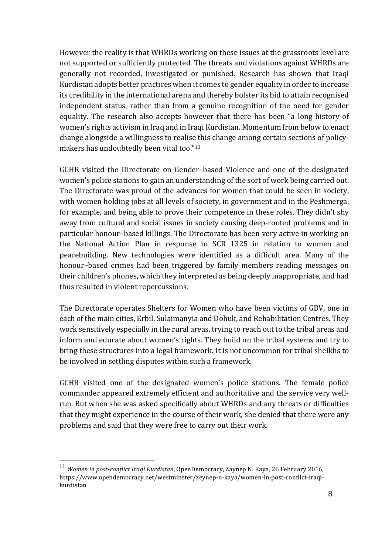However the reality is that WHRDs working on these issues at the grassroots level are not supported or sufficiently protected. The threats and violations against WHRDs are generally not recorded, investigated or punished. Research has shown that Iraqi Kurdistan adopts better practices when it comes to gender equality in order to increase its credibility in the international arena and thereby bolster its bid to attain recognised independent status, rather than from a genuine recognition of the need for gender equality. The research also accepts however that there has been "a long history of women's rights activism in Iraq and in Iraqi Kurdistan. Momentum from below to enact change alongside a willingness to realise this change among certain sections of policymakers has undoubtedly been vital too." $13$ 

GCHR visited the Directorate on Gender-based Violence and one of the designated women's police stations to gain an understanding of the sort of work being carried out. The Directorate was proud of the advances for women that could be seen in society, with women holding jobs at all levels of society, in government and in the Peshmerga, for example, and being able to prove their competence in these roles. They didn't shy away from cultural and social issues in society causing deep-rooted problems and in particular honour-based killings. The Directorate has been very active in working on the National Action Plan in response to SCR 1325 in relation to women and peacebuilding. New technologies were identified as a difficult area. Many of the honour–based crimes had been triggered by family members reading messages on their children's phones, which they interpreted as being deeply inappropriate, and had thus resulted in violent repercussions.

The Directorate operates Shelters for Women who have been victims of GBV, one in each of the main cities, Erbil, Sulaimanyia and Dohuk, and Rehabilitation Centres. They work sensitively especially in the rural areas, trying to reach out to the tribal areas and inform and educate about women's rights. They build on the tribal systems and try to bring these structures into a legal framework. It is not uncommon for tribal sheikhs to be involved in settling disputes within such a framework.

GCHR visited one of the designated women's police stations. The female police commander appeared extremely efficient and authoritative and the service very wellrun. But when she was asked specifically about WHRDs and any threats or difficulties that they might experience in the course of their work, she denied that there were any problems and said that they were free to carry out their work.

<sup>&</sup>lt;sup>13</sup> Women in post-conflict Iraqi Kurdistan, OpenDemocracy, Zaynep N. Kaya, 26 February 2016, https://www.opendemocracy.net/westminster/zeynep-n-kaya/women-in-post-conflict-iraqikurdistan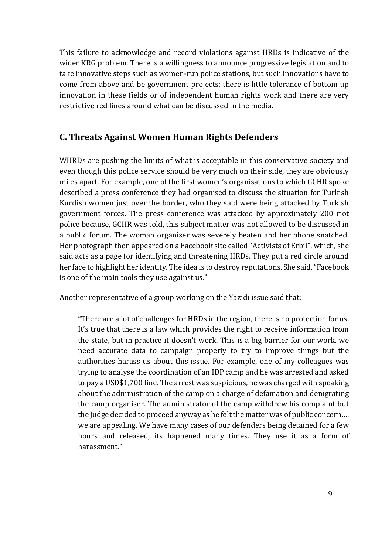This failure to acknowledge and record violations against HRDs is indicative of the wider KRG problem. There is a willingness to announce progressive legislation and to take innovative steps such as women-run police stations, but such innovations have to come from above and be government projects; there is little tolerance of bottom up innovation in these fields or of independent human rights work and there are very restrictive red lines around what can be discussed in the media.

### **C. Threats Against Women Human Rights Defenders**

WHRDs are pushing the limits of what is acceptable in this conservative society and even though this police service should be very much on their side, they are obviously miles apart. For example, one of the first women's organisations to which GCHR spoke described a press conference they had organised to discuss the situation for Turkish Kurdish women just over the border, who they said were being attacked by Turkish government forces. The press conference was attacked by approximately 200 riot police because, GCHR was told, this subject matter was not allowed to be discussed in a public forum. The woman organiser was severely beaten and her phone snatched. Her photograph then appeared on a Facebook site called "Activists of Erbil", which, she said acts as a page for identifying and threatening HRDs. They put a red circle around her face to highlight her identity. The idea is to destroy reputations. She said, "Facebook is one of the main tools they use against us."

Another representative of a group working on the Yazidi issue said that:

"There are a lot of challenges for HRDs in the region, there is no protection for us. It's true that there is a law which provides the right to receive information from the state, but in practice it doesn't work. This is a big barrier for our work, we need accurate data to campaign properly to try to improve things but the authorities harass us about this issue. For example, one of my colleagues was trying to analyse the coordination of an IDP camp and he was arrested and asked to pay a USD\$1,700 fine. The arrest was suspicious, he was charged with speaking about the administration of the camp on a charge of defamation and denigrating the camp organiser. The administrator of the camp withdrew his complaint but the judge decided to proceed anyway as he felt the matter was of public concern.... we are appealing. We have many cases of our defenders being detained for a few hours and released, its happened many times. They use it as a form of harassment."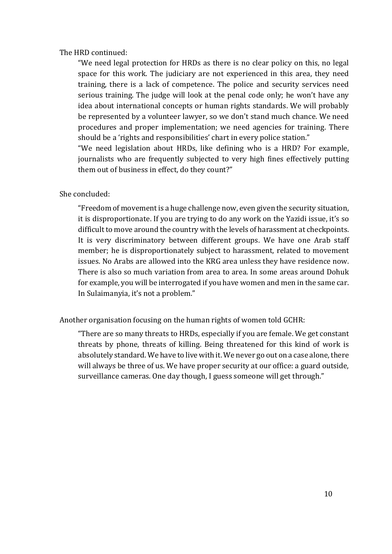### The HRD continued:

"We need legal protection for HRDs as there is no clear policy on this, no legal space for this work. The judiciary are not experienced in this area, they need training, there is a lack of competence. The police and security services need serious training. The judge will look at the penal code only; he won't have any idea about international concepts or human rights standards. We will probably be represented by a volunteer lawyer, so we don't stand much chance. We need procedures and proper implementation; we need agencies for training. There should be a 'rights and responsibilities' chart in every police station."

"We need legislation about HRDs, like defining who is a HRD? For example, journalists who are frequently subjected to very high fines effectively putting them out of business in effect, do they count?"

### She concluded:

"Freedom of movement is a huge challenge now, even given the security situation, it is disproportionate. If you are trying to do any work on the Yazidi issue, it's so difficult to move around the country with the levels of harassment at checkpoints. It is very discriminatory between different groups. We have one Arab staff member; he is disproportionately subject to harassment, related to movement issues. No Arabs are allowed into the KRG area unless they have residence now. There is also so much variation from area to area. In some areas around Dohuk for example, you will be interrogated if you have women and men in the same car. In Sulaimanyia, it's not a problem."

### Another organisation focusing on the human rights of women told GCHR:

"There are so many threats to HRDs, especially if you are female. We get constant threats by phone, threats of killing. Being threatened for this kind of work is absolutely standard. We have to live with it. We never go out on a case alone, there will always be three of us. We have proper security at our office: a guard outside, surveillance cameras. One day though, I guess someone will get through."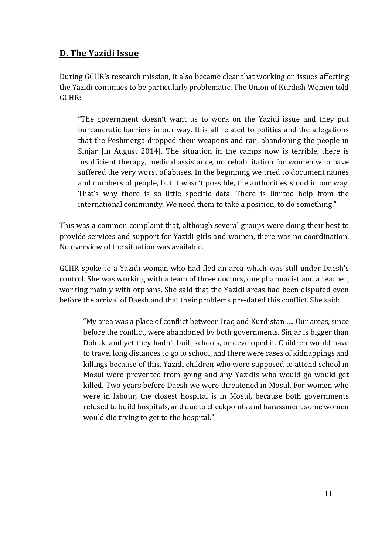### **D. The Yazidi Issue**

During GCHR's research mission, it also became clear that working on issues affecting the Yazidi continues to be particularly problematic. The Union of Kurdish Women told GCHR: 

"The government doesn't want us to work on the Yazidi issue and they put bureaucratic barriers in our way. It is all related to politics and the allegations that the Peshmerga dropped their weapons and ran, abandoning the people in Sinjar  $\int$  [in August 2014]. The situation in the camps now is terrible, there is insufficient therapy, medical assistance, no rehabilitation for women who have suffered the very worst of abuses. In the beginning we tried to document names and numbers of people, but it wasn't possible, the authorities stood in our way. That's why there is so little specific data. There is limited help from the international community. We need them to take a position, to do something."

This was a common complaint that, although several groups were doing their best to provide services and support for Yazidi girls and women, there was no coordination. No overview of the situation was available.

GCHR spoke to a Yazidi woman who had fled an area which was still under Daesh's control. She was working with a team of three doctors, one pharmacist and a teacher, working mainly with orphans. She said that the Yazidi areas had been disputed even before the arrival of Daesh and that their problems pre-dated this conflict. She said:

"My area was a place of conflict between Iraq and Kurdistan .... Our areas, since before the conflict, were abandoned by both governments. Sinjar is bigger than Dohuk, and yet they hadn't built schools, or developed it. Children would have to travel long distances to go to school, and there were cases of kidnappings and killings because of this. Yazidi children who were supposed to attend school in Mosul were prevented from going and any Yazidis who would go would get killed. Two years before Daesh we were threatened in Mosul. For women who were in labour, the closest hospital is in Mosul, because both governments refused to build hospitals, and due to checkpoints and harassment some women would die trying to get to the hospital."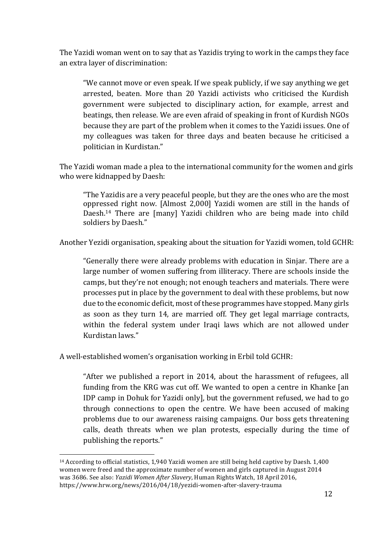The Yazidi woman went on to say that as Yazidis trying to work in the camps they face an extra layer of discrimination:

"We cannot move or even speak. If we speak publicly, if we say anything we get arrested, beaten. More than 20 Yazidi activists who criticised the Kurdish government were subjected to disciplinary action, for example, arrest and beatings, then release. We are even afraid of speaking in front of Kurdish NGOs because they are part of the problem when it comes to the Yazidi issues. One of my colleagues was taken for three days and beaten because he criticised a politician in Kurdistan."

The Yazidi woman made a plea to the international community for the women and girls who were kidnapped by Daesh:

"The Yazidis are a very peaceful people, but they are the ones who are the most oppressed right now. [Almost 2,000] Yazidi women are still in the hands of Daesh.<sup>14</sup> There are [many] Yazidi children who are being made into child soldiers by Daesh."

Another Yezidi organisation, speaking about the situation for Yazidi women, told GCHR:

"Generally there were already problems with education in Sinjar. There are a large number of women suffering from illiteracy. There are schools inside the camps, but they're not enough; not enough teachers and materials. There were processes put in place by the government to deal with these problems, but now due to the economic deficit, most of these programmes have stopped. Many girls as soon as they turn 14, are married off. They get legal marriage contracts, within the federal system under Iraqi laws which are not allowed under Kurdistan laws."

A well-established women's organisation working in Erbil told GCHR:

 

"After we published a report in 2014, about the harassment of refugees, all funding from the KRG was cut off. We wanted to open a centre in Khanke [an IDP camp in Dohuk for Yazidi only], but the government refused, we had to go through connections to open the centre. We have been accused of making problems due to our awareness raising campaigns. Our boss gets threatening calls, death threats when we plan protests, especially during the time of publishing the reports."

<sup>&</sup>lt;sup>14</sup> According to official statistics, 1,940 Yazidi women are still being held captive by Daesh. 1,400 women were freed and the approximate number of women and girls captured in August 2014 was 3686. See also: *Yazidi Women After Slavery*, Human Rights Watch, 18 April 2016, https://www.hrw.org/news/2016/04/18/yezidi-women-after-slavery-trauma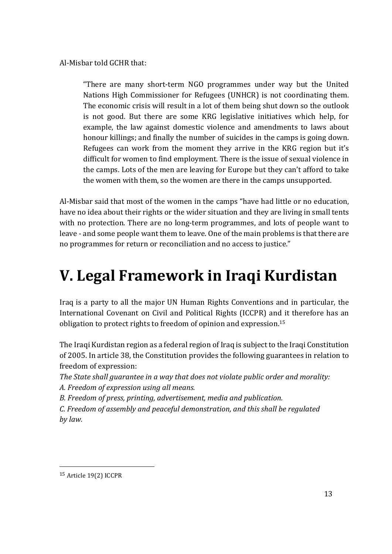Al-Misbar told GCHR that:

"There are many short-term NGO programmes under way but the United Nations High Commissioner for Refugees (UNHCR) is not coordinating them. The economic crisis will result in a lot of them being shut down so the outlook is not good. But there are some KRG legislative initiatives which help, for example, the law against domestic violence and amendments to laws about honour killings; and finally the number of suicides in the camps is going down. Refugees can work from the moment they arrive in the KRG region but it's difficult for women to find employment. There is the issue of sexual violence in the camps. Lots of the men are leaving for Europe but they can't afford to take the women with them, so the women are there in the camps unsupported.

Al-Misbar said that most of the women in the camps "have had little or no education, have no idea about their rights or the wider situation and they are living in small tents with no protection. There are no long-term programmes, and lots of people want to leave - and some people want them to leave. One of the main problems is that there are no programmes for return or reconciliation and no access to justice."

# **V. Legal Framework in Iraqi Kurdistan**

Iraq is a party to all the major UN Human Rights Conventions and in particular, the International Covenant on Civil and Political Rights (ICCPR) and it therefore has an obligation to protect rights to freedom of opinion and expression.<sup>15</sup>

The Iraqi Kurdistan region as a federal region of Iraq is subject to the Iraqi Constitution of 2005. In article 38, the Constitution provides the following guarantees in relation to freedom of expression:

The State shall guarantee in a way that does not violate public order and morality:

A. Freedom of expression using all means.

*B. Freedom of press, printing, advertisement, media and publication.*

*C. Freedom of assembly and peaceful demonstration, and this shall be regulated by law.*

<sup>&</sup>lt;sup>15</sup> Article 19(2) ICCPR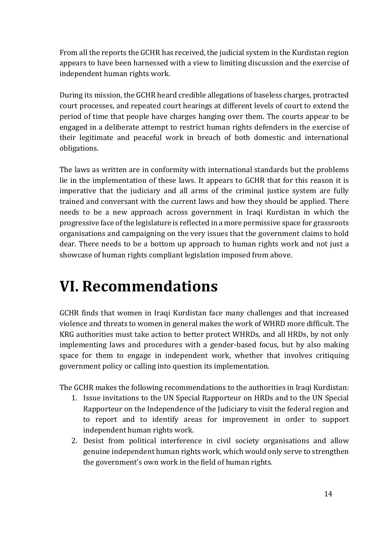From all the reports the GCHR has received, the judicial system in the Kurdistan region appears to have been harnessed with a view to limiting discussion and the exercise of independent human rights work.

During its mission, the GCHR heard credible allegations of baseless charges, protracted court processes, and repeated court hearings at different levels of court to extend the period of time that people have charges hanging over them. The courts appear to be engaged in a deliberate attempt to restrict human rights defenders in the exercise of their legitimate and peaceful work in breach of both domestic and international obligations. 

The laws as written are in conformity with international standards but the problems lie in the implementation of these laws. It appears to GCHR that for this reason it is imperative that the judiciary and all arms of the criminal justice system are fully trained and conversant with the current laws and how they should be applied. There needs to be a new approach across government in Iraqi Kurdistan in which the progressive face of the legislature is reflected in a more permissive space for grassroots organisations and campaigning on the very issues that the government claims to hold dear. There needs to be a bottom up approach to human rights work and not just a showcase of human rights compliant legislation imposed from above.

# **VI. Recommendations**

GCHR finds that women in Iraqi Kurdistan face many challenges and that increased violence and threats to women in general makes the work of WHRD more difficult. The KRG authorities must take action to better protect WHRDs, and all HRDs, by not only implementing laws and procedures with a gender-based focus, but by also making space for them to engage in independent work, whether that involves critiquing government policy or calling into question its implementation.

The GCHR makes the following recommendations to the authorities in Iraqi Kurdistan:

- 1. Issue invitations to the UN Special Rapporteur on HRDs and to the UN Special Rapporteur on the Independence of the Judiciary to visit the federal region and to report and to identify areas for improvement in order to support independent human rights work.
- 2. Desist from political interference in civil society organisations and allow genuine independent human rights work, which would only serve to strengthen the government's own work in the field of human rights.